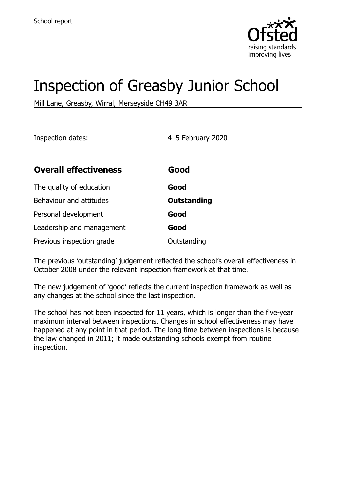

# Inspection of Greasby Junior School

Mill Lane, Greasby, Wirral, Merseyside CH49 3AR

Inspection dates: 4–5 February 2020

| <b>Overall effectiveness</b> | Good               |
|------------------------------|--------------------|
| The quality of education     | Good               |
| Behaviour and attitudes      | <b>Outstanding</b> |
| Personal development         | Good               |
| Leadership and management    | Good               |
| Previous inspection grade    | Outstanding        |

The previous 'outstanding' judgement reflected the school's overall effectiveness in October 2008 under the relevant inspection framework at that time.

The new judgement of 'good' reflects the current inspection framework as well as any changes at the school since the last inspection.

The school has not been inspected for 11 years, which is longer than the five-year maximum interval between inspections. Changes in school effectiveness may have happened at any point in that period. The long time between inspections is because the law changed in 2011; it made outstanding schools exempt from routine inspection.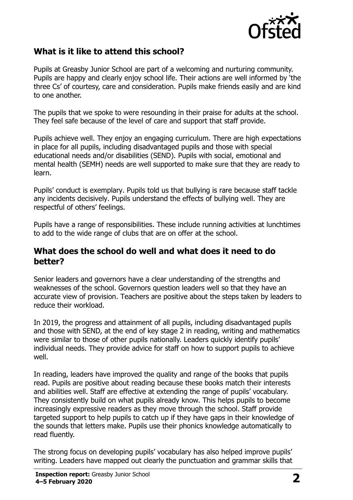

## **What is it like to attend this school?**

Pupils at Greasby Junior School are part of a welcoming and nurturing community. Pupils are happy and clearly enjoy school life. Their actions are well informed by 'the three Cs' of courtesy, care and consideration. Pupils make friends easily and are kind to one another.

The pupils that we spoke to were resounding in their praise for adults at the school. They feel safe because of the level of care and support that staff provide.

Pupils achieve well. They enjoy an engaging curriculum. There are high expectations in place for all pupils, including disadvantaged pupils and those with special educational needs and/or disabilities (SEND). Pupils with social, emotional and mental health (SEMH) needs are well supported to make sure that they are ready to learn.

Pupils' conduct is exemplary. Pupils told us that bullying is rare because staff tackle any incidents decisively. Pupils understand the effects of bullying well. They are respectful of others' feelings.

Pupils have a range of responsibilities. These include running activities at lunchtimes to add to the wide range of clubs that are on offer at the school.

#### **What does the school do well and what does it need to do better?**

Senior leaders and governors have a clear understanding of the strengths and weaknesses of the school. Governors question leaders well so that they have an accurate view of provision. Teachers are positive about the steps taken by leaders to reduce their workload.

In 2019, the progress and attainment of all pupils, including disadvantaged pupils and those with SEND, at the end of key stage 2 in reading, writing and mathematics were similar to those of other pupils nationally. Leaders quickly identify pupils' individual needs. They provide advice for staff on how to support pupils to achieve well.

In reading, leaders have improved the quality and range of the books that pupils read. Pupils are positive about reading because these books match their interests and abilities well. Staff are effective at extending the range of pupils' vocabulary. They consistently build on what pupils already know. This helps pupils to become increasingly expressive readers as they move through the school. Staff provide targeted support to help pupils to catch up if they have gaps in their knowledge of the sounds that letters make. Pupils use their phonics knowledge automatically to read fluently.

The strong focus on developing pupils' vocabulary has also helped improve pupils' writing. Leaders have mapped out clearly the punctuation and grammar skills that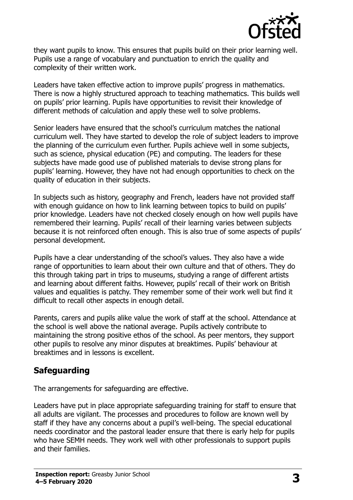

they want pupils to know. This ensures that pupils build on their prior learning well. Pupils use a range of vocabulary and punctuation to enrich the quality and complexity of their written work.

Leaders have taken effective action to improve pupils' progress in mathematics. There is now a highly structured approach to teaching mathematics. This builds well on pupils' prior learning. Pupils have opportunities to revisit their knowledge of different methods of calculation and apply these well to solve problems.

Senior leaders have ensured that the school's curriculum matches the national curriculum well. They have started to develop the role of subject leaders to improve the planning of the curriculum even further. Pupils achieve well in some subjects, such as science, physical education (PE) and computing. The leaders for these subjects have made good use of published materials to devise strong plans for pupils' learning. However, they have not had enough opportunities to check on the quality of education in their subjects.

In subjects such as history, geography and French, leaders have not provided staff with enough guidance on how to link learning between topics to build on pupils' prior knowledge. Leaders have not checked closely enough on how well pupils have remembered their learning. Pupils' recall of their learning varies between subjects because it is not reinforced often enough. This is also true of some aspects of pupils' personal development.

Pupils have a clear understanding of the school's values. They also have a wide range of opportunities to learn about their own culture and that of others. They do this through taking part in trips to museums, studying a range of different artists and learning about different faiths. However, pupils' recall of their work on British values and equalities is patchy. They remember some of their work well but find it difficult to recall other aspects in enough detail.

Parents, carers and pupils alike value the work of staff at the school. Attendance at the school is well above the national average. Pupils actively contribute to maintaining the strong positive ethos of the school. As peer mentors, they support other pupils to resolve any minor disputes at breaktimes. Pupils' behaviour at breaktimes and in lessons is excellent.

## **Safeguarding**

The arrangements for safeguarding are effective.

Leaders have put in place appropriate safeguarding training for staff to ensure that all adults are vigilant. The processes and procedures to follow are known well by staff if they have any concerns about a pupil's well-being. The special educational needs coordinator and the pastoral leader ensure that there is early help for pupils who have SEMH needs. They work well with other professionals to support pupils and their families.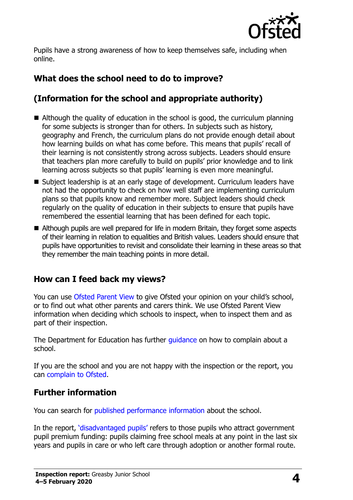

Pupils have a strong awareness of how to keep themselves safe, including when online.

## **What does the school need to do to improve?**

## **(Information for the school and appropriate authority)**

- Although the quality of education in the school is good, the curriculum planning for some subjects is stronger than for others. In subjects such as history, geography and French, the curriculum plans do not provide enough detail about how learning builds on what has come before. This means that pupils' recall of their learning is not consistently strong across subjects. Leaders should ensure that teachers plan more carefully to build on pupils' prior knowledge and to link learning across subjects so that pupils' learning is even more meaningful.
- Subject leadership is at an early stage of development. Curriculum leaders have not had the opportunity to check on how well staff are implementing curriculum plans so that pupils know and remember more. Subject leaders should check regularly on the quality of education in their subjects to ensure that pupils have remembered the essential learning that has been defined for each topic.
- Although pupils are well prepared for life in modern Britain, they forget some aspects of their learning in relation to equalities and British values. Leaders should ensure that pupils have opportunities to revisit and consolidate their learning in these areas so that they remember the main teaching points in more detail.

### **How can I feed back my views?**

You can use [Ofsted Parent View](http://parentview.ofsted.gov.uk/) to give Ofsted your opinion on your child's school, or to find out what other parents and carers think. We use Ofsted Parent View information when deciding which schools to inspect, when to inspect them and as part of their inspection.

The Department for Education has further quidance on how to complain about a school.

If you are the school and you are not happy with the inspection or the report, you can [complain to Ofsted.](http://www.gov.uk/complain-ofsted-report)

#### **Further information**

You can search for [published performance information](http://www.compare-school-performance.service.gov.uk/) about the school.

In the report, '[disadvantaged pupils](http://www.gov.uk/guidance/pupil-premium-information-for-schools-and-alternative-provision-settings)' refers to those pupils who attract government pupil premium funding: pupils claiming free school meals at any point in the last six years and pupils in care or who left care through adoption or another formal route.

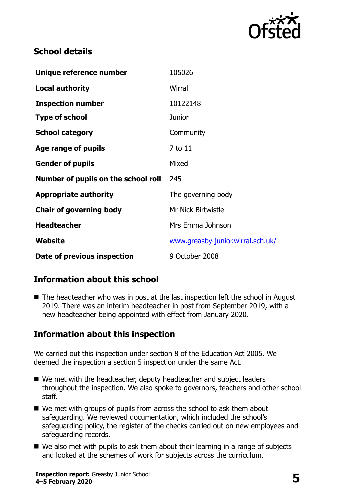

## **School details**

| Unique reference number             | 105026                            |
|-------------------------------------|-----------------------------------|
| <b>Local authority</b>              | Wirral                            |
| <b>Inspection number</b>            | 10122148                          |
| <b>Type of school</b>               | <b>Junior</b>                     |
| <b>School category</b>              | Community                         |
| Age range of pupils                 | 7 to 11                           |
| <b>Gender of pupils</b>             | Mixed                             |
| Number of pupils on the school roll | 245                               |
| <b>Appropriate authority</b>        | The governing body                |
| <b>Chair of governing body</b>      | Mr Nick Birtwistle                |
| <b>Headteacher</b>                  | Mrs Emma Johnson                  |
| Website                             | www.greasby-junior.wirral.sch.uk/ |
| Date of previous inspection         | 9 October 2008                    |

## **Information about this school**

■ The headteacher who was in post at the last inspection left the school in August 2019. There was an interim headteacher in post from September 2019, with a new headteacher being appointed with effect from January 2020.

### **Information about this inspection**

We carried out this inspection under section 8 of the Education Act 2005. We deemed the inspection a section 5 inspection under the same Act.

- We met with the headteacher, deputy headteacher and subject leaders throughout the inspection. We also spoke to governors, teachers and other school staff.
- We met with groups of pupils from across the school to ask them about safeguarding. We reviewed documentation, which included the school's safeguarding policy, the register of the checks carried out on new employees and safeguarding records.
- We also met with pupils to ask them about their learning in a range of subjects and looked at the schemes of work for subjects across the curriculum.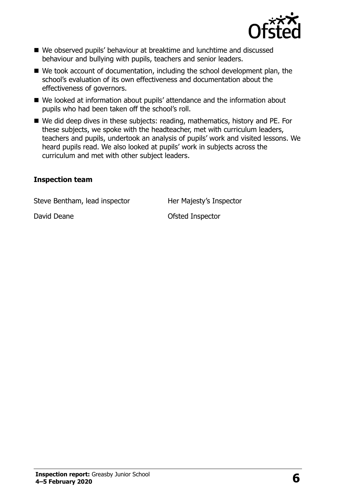

- We observed pupils' behaviour at breaktime and lunchtime and discussed behaviour and bullying with pupils, teachers and senior leaders.
- We took account of documentation, including the school development plan, the school's evaluation of its own effectiveness and documentation about the effectiveness of governors.
- We looked at information about pupils' attendance and the information about pupils who had been taken off the school's roll.
- We did deep dives in these subjects: reading, mathematics, history and PE. For these subjects, we spoke with the headteacher, met with curriculum leaders, teachers and pupils, undertook an analysis of pupils' work and visited lessons. We heard pupils read. We also looked at pupils' work in subjects across the curriculum and met with other subject leaders.

#### **Inspection team**

Steve Bentham, lead inspector Her Majesty's Inspector

David Deane **David Deane David Deane Ofsted Inspector**